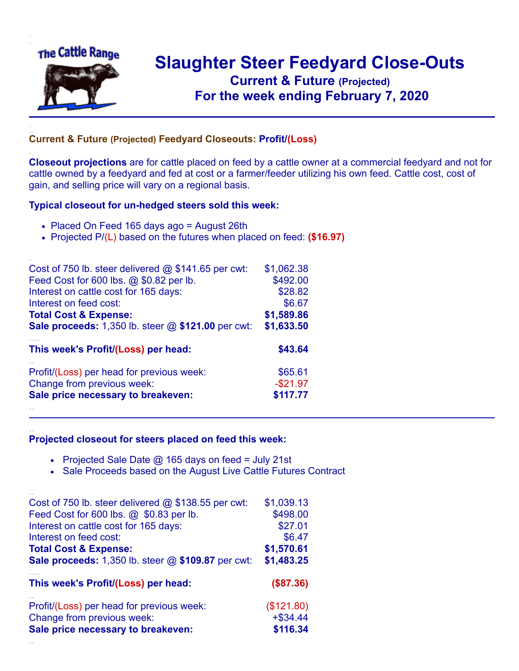

.

..

## **Slaughter Steer Feedyard Close-Outs Current & Future (Projected)** .**For the week ending February 7, 2020**

## **Current & Future (Projected) Feedyard Closeouts: Profit/(Loss)**

**Closeout projections** are for cattle placed on feed by a cattle owner at a commercial feedyard and not for cattle owned by a feedyard and fed at cost or a farmer/feeder utilizing his own feed. Cattle cost, cost of gain, and selling price will vary on a regional basis.

## **Typical closeout for un-hedged steers sold this week:**

- Placed On Feed 165 days ago = August 26th
- Projected P/(L) based on the futures when placed on feed: **(\$16.97)**

| Cost of 750 lb. steer delivered $@$ \$141.65 per cwt:       | \$1,062.38 |
|-------------------------------------------------------------|------------|
| Feed Cost for 600 lbs. @ \$0.82 per lb.                     | \$492.00   |
| Interest on cattle cost for 165 days:                       | \$28.82    |
| Interest on feed cost:                                      | \$6.67     |
| <b>Total Cost &amp; Expense:</b>                            | \$1,589.86 |
| <b>Sale proceeds:</b> 1,350 lb. steer $@$ \$121.00 per cwt: | \$1,633.50 |
| This week's Profit/(Loss) per head:                         | \$43.64    |
| Profit/(Loss) per head for previous week:                   | \$65.61    |
| Change from previous week:                                  | $-$21.97$  |
| Sale price necessary to breakeven:                          | \$117.77   |
|                                                             |            |

## **Projected closeout for steers placed on feed this week:**

- Projected Sale Date  $@$  165 days on feed = July 21st
- Sale Proceeds based on the August Live Cattle Futures Contract

| Cost of 750 lb. steer delivered $@$ \$138.55 per cwt:     | \$1,039.13   |
|-----------------------------------------------------------|--------------|
| Feed Cost for 600 lbs. @ \$0.83 per lb.                   | \$498.00     |
| Interest on cattle cost for 165 days:                     | \$27.01      |
| Interest on feed cost:                                    | \$6.47       |
| <b>Total Cost &amp; Expense:</b>                          | \$1,570.61   |
| <b>Sale proceeds:</b> 1,350 lb. steer @ \$109.87 per cwt: | \$1,483.25   |
| This week's Profit/(Loss) per head:                       | $($ \$87.36) |
| Profit/(Loss) per head for previous week:                 | (\$121.80)   |
| Change from previous week:                                | $+$ \$34.44  |
| Sale price necessary to breakeven:                        | \$116.34     |
|                                                           |              |